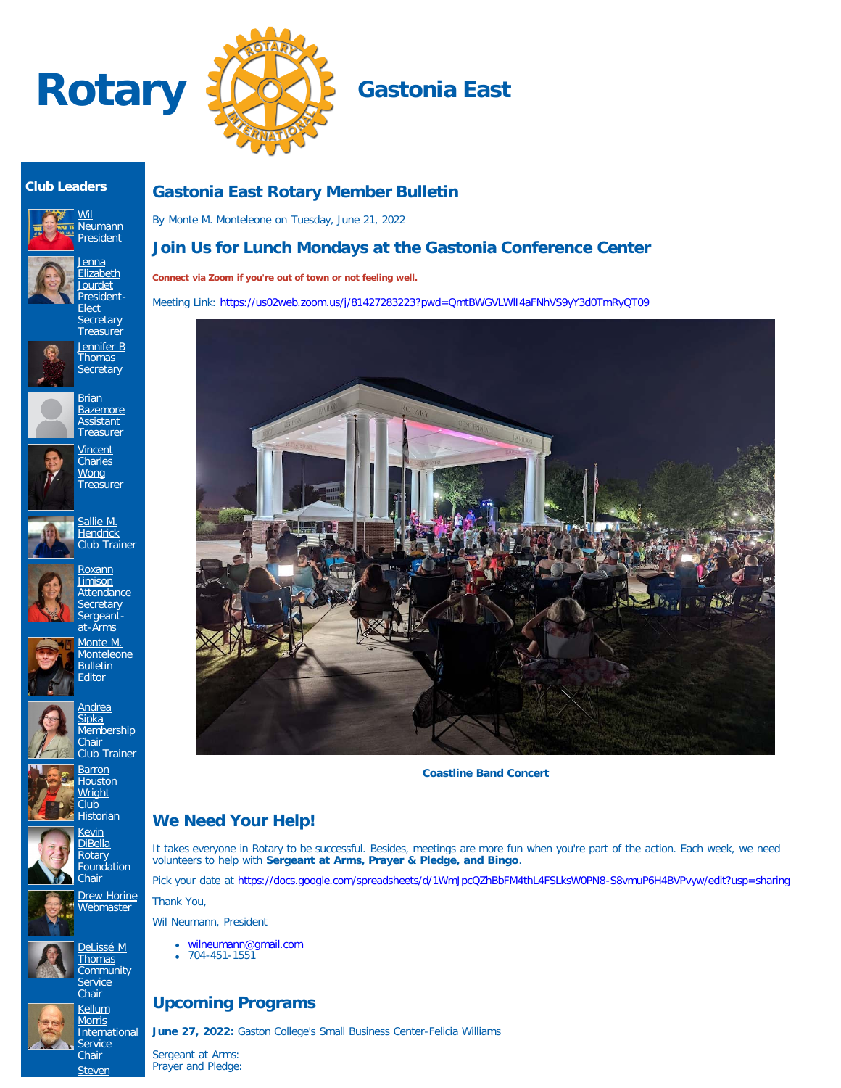



### **Club Leaders**









<u>[Jenna](https://www.ismyrotaryclub.org/EMailer.cfm?ID=800780946)</u> [Elizabeth](https://www.ismyrotaryclub.org/EMailer.cfm?ID=800780946) [Jourdet](https://www.ismyrotaryclub.org/EMailer.cfm?ID=800780946) President-

















**[Kevin](https://www.ismyrotaryclub.org/EMailer.cfm?ID=76803943) [DiBella](https://www.ismyrotaryclub.org/EMailer.cfm?ID=76803943)** Rotary Foundation **Chair** 

**[Barron](https://www.ismyrotaryclub.org/EMailer.cfm?ID=76804055)** [Houston](https://www.ismyrotaryclub.org/EMailer.cfm?ID=76804055) [Wright](https://www.ismyrotaryclub.org/EMailer.cfm?ID=76804055) Club









[Steven](https://www.ismyrotaryclub.org/EMailer.cfm?ID=800406009)

**Gastonia East Rotary Member Bulletin**

By Monte M. Monteleone on Tuesday, June 21, 2022

# **Join Us for Lunch Mondays at the Gastonia Conference Center**

**Connect via Zoom if you're out of town or not feeling well.**

Meeting Link: https://us02web.zoom.us/j/81427283223?pwd=QmtBWGVLWII4aFNhVS9yY3d0TmRyQT09



**Coastline Band Concert**

# **We Need Your Help!**

It takes everyone in Rotary to be successful. Besides, meetings are more fun when you're part of the action. Each week, we need volunteers to help with **Sergeant at Arms, Prayer & Pledge, and Bingo**.

Pick your date at <https://docs.google.com/spreadsheets/d/1WmJpcQZhBbFM4thL4FSLksW0PN8-S8vmuP6H4BVPvyw/edit?usp=sharing>

Thank You,

Wil Neumann, President

- [wilneumann@gmail.com](mailto:wilneumann@gmail.com)
- 704-451-1551

# **Upcoming Programs**

**June 27, 2022:** Gaston College's Small Business Center-Felicia Williams

Sergeant at Arms: Prayer and Pledge:

[Drew Horine](https://www.ismyrotaryclub.org/EMailer.cfm?ID=800801377) **Webmaster** 

[DeLissé M](https://www.ismyrotaryclub.org/EMailer.cfm?ID=800899434)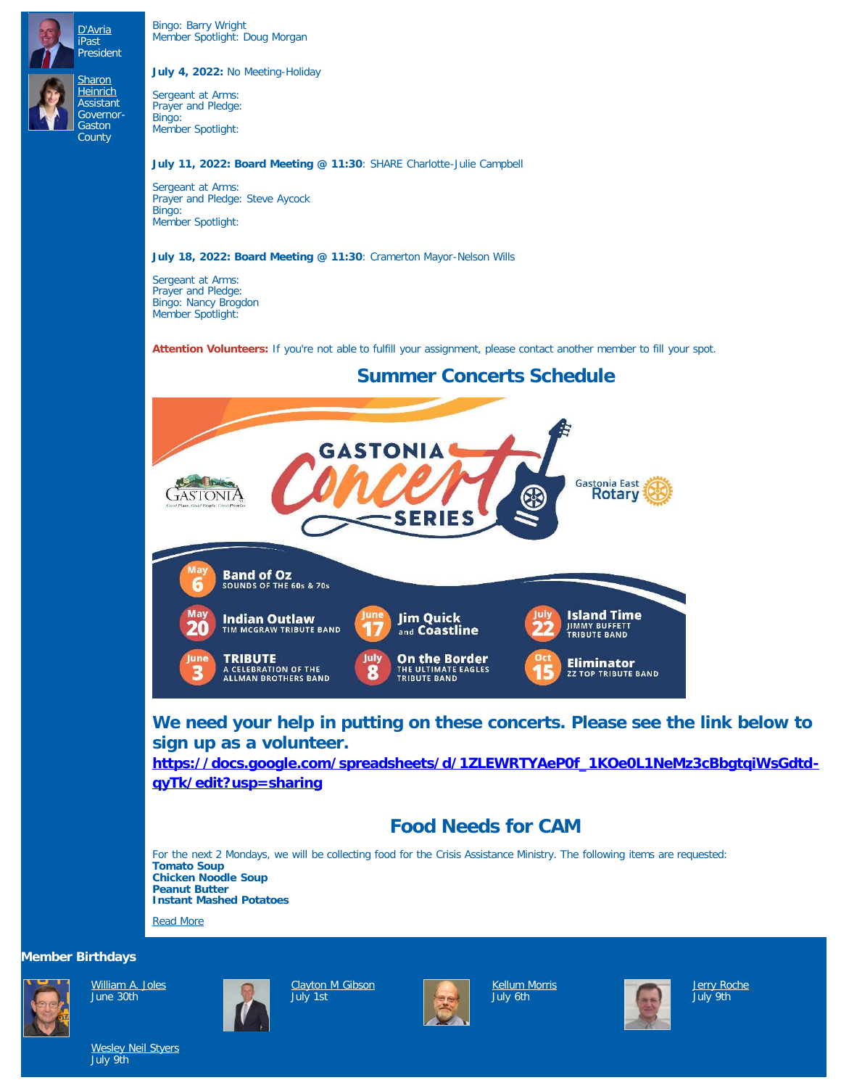Bingo: Barry Wright Member Spotlight: Doug Morgan

[D'Avria](https://www.ismyrotaryclub.org/EMailer.cfm?ID=800406009) iPast President

**[Sharon](https://www.ismyrotaryclub.org/EMailer.cfm?ID=800051679) [Heinrich](https://www.ismyrotaryclub.org/EMailer.cfm?ID=800051679) Assistant** Governor-**Gaston County** 

#### **July 4, 2022:** No Meeting-Holiday

Sergeant at Arms: Prayer and Pledge: Bingo: Member Spotlight:

#### **July 11, 2022: Board Meeting @ 11:30**: SHARE Charlotte-Julie Campbell

Sergeant at Arms: Prayer and Pledge: Steve Aycock Bingo: Member Spotlight:

### **July 18, 2022: Board Meeting @ 11:30**: Cramerton Mayor-Nelson Wills

Sergeant at Arms: Prayer and Pledge: Bingo: Nancy Brogdon Member Spotlight:

**Attention Volunteers:** If you're not able to fulfill your assignment, please contact another member to fill your spot.



**We need your help in putting on these concerts. Please see the link below to sign up as a volunteer. [https://docs.google.com/spreadsheets/d/1ZLEWRTYAeP0f\\_1KOe0L1NeMz3cBbgtqiWsGdtd](https://docs.google.com/spreadsheets/d/1ZLEWRTYAeP0f_1KOe0L1NeMz3cBbgtqiWsGdtd-qyTk/edit?usp=sharing)[qyTk/edit?usp=sharing](https://docs.google.com/spreadsheets/d/1ZLEWRTYAeP0f_1KOe0L1NeMz3cBbgtqiWsGdtd-qyTk/edit?usp=sharing)**

# **Food Needs for CAM**

For the next 2 Mondays, we will be collecting food for the Crisis Assistance Ministry. The following items are requested: **Tomato Soup Chicken Noodle Soup Peanut Butter Instant Mashed Potatoes**

[Read More](https://ismyrotaryclub.com/story/ezBulletinMore.cfm?StoryID=173161)

### **Member Birthdays**



[William A. Joles](https://www.ismyrotaryclub.org/EMailer.cfm?ID=800742114) June 30th



[Clayton M Gibson](https://www.ismyrotaryclub.org/EMailer.cfm?ID=800647542) July 1<sub>st</sub>



[Kellum Morris](https://www.ismyrotaryclub.org/EMailer.cfm?ID=76803997) July 6th



[Jerry Roche](https://www.ismyrotaryclub.org/EMailer.cfm?ID=76804012) July 9th

[Wesley Neil Styers](https://www.ismyrotaryclub.org/EMailer.cfm?ID=76804034) July 9th